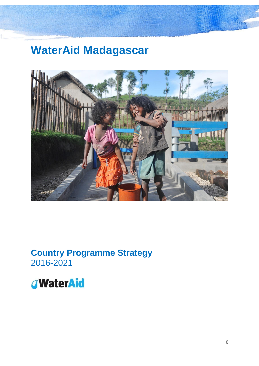# **WaterAid Madagascar**



## **Country Programme Strategy**  2016-2021

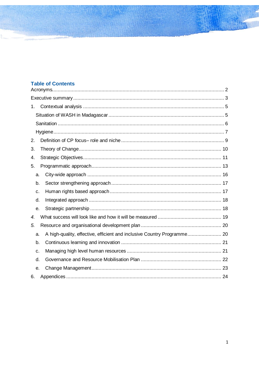## **Table of Contents**

| 1. |  |
|----|--|
|    |  |
|    |  |
|    |  |
| 2. |  |
| 3. |  |
| 4. |  |
| 5. |  |
| a. |  |
| b. |  |
| C. |  |
| d. |  |
| е. |  |
| 4. |  |
| 5. |  |
| a. |  |
| b. |  |
| c. |  |
| d. |  |
| е. |  |
| 6. |  |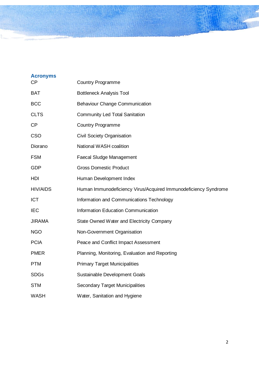<span id="page-2-0"></span>

| <b>Acronyms</b><br>CP | <b>Country Programme</b>                                        |
|-----------------------|-----------------------------------------------------------------|
| <b>BAT</b>            | <b>Bottleneck Analysis Tool</b>                                 |
| <b>BCC</b>            | <b>Behaviour Change Communication</b>                           |
| <b>CLTS</b>           | <b>Community Led Total Sanitation</b>                           |
| <b>CP</b>             | <b>Country Programme</b>                                        |
| CSO                   | Civil Society Organisation                                      |
| Diorano               | National WASH coalition                                         |
| <b>FSM</b>            | Faecal Sludge Management                                        |
| <b>GDP</b>            | <b>Gross Domestic Product</b>                                   |
| HDI                   | Human Development Index                                         |
| <b>HIV/AIDS</b>       | Human Immunodeficiency Virus/Acquired Immunodeficiency Syndrome |
| <b>ICT</b>            | Information and Communications Technology                       |
| <b>IEC</b>            | Information Education Communication                             |
| <b>JIRAMA</b>         | State Owned Water and Electricity Company                       |
| <b>NGO</b>            | Non-Government Organisation                                     |
| <b>PCIA</b>           | Peace and Conflict Impact Assessment                            |
| <b>PMER</b>           | Planning, Monitoring, Evaluation and Reporting                  |
| <b>PTM</b>            | <b>Primary Target Municipalities</b>                            |
| <b>SDGs</b>           | Sustainable Development Goals                                   |
| <b>STM</b>            | <b>Secondary Target Municipalities</b>                          |
| <b>WASH</b>           | Water, Sanitation and Hygiene                                   |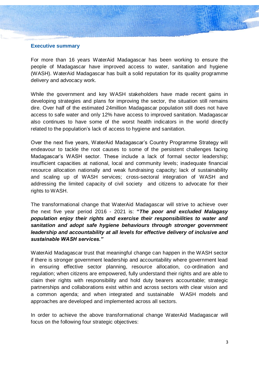#### <span id="page-3-0"></span>**Executive summary**

For more than 16 years WaterAid Madagascar has been working to ensure the people of Madagascar have improved access to water, sanitation and hygiene (WASH). WaterAid Madagascar has built a solid reputation for its quality programme delivery and advocacy work.

While the government and key WASH stakeholders have made recent gains in developing strategies and plans for improving the sector, the situation still remains dire. Over half of the estimated 24million Madagascar population still does not have access to safe water and only 12% have access to improved sanitation. Madagascar also continues to have some of the worst health indicators in the world directly related to the population's lack of access to hygiene and sanitation.

Over the next five years, WaterAid Madagascar's Country Programme Strategy will endeavour to tackle the root causes to some of the persistent challenges facing Madagascar's WASH sector. These include a lack of formal sector leadership; insufficient capacities at national, local and community levels; inadequate financial resource allocation nationally and weak fundraising capacity; lack of sustainability and scaling up of WASH services; cross-sectoral integration of WASH and addressing the limited capacity of civil society and citizens to advocate for their rights to WASH.

The transformational change that WaterAid Madagascar will strive to achieve over the next five year period 2016 - 2021 is: **"***The poor and excluded Malagasy population enjoy their rights and exercise their responsibilities to water and sanitation and adopt safe hygiene behaviours through stronger government leadership and accountability at all levels for effective delivery of inclusive and sustainable WASH services."*

WaterAid Madagascar trust that meaningful change can happen in the WASH sector if there is stronger government leadership and accountability where government lead in ensuring effective sector planning, resource allocation, co-ordination and regulation; when citizens are empowered, fully understand their rights and are able to claim their rights with responsibility and hold duty bearers accountable; strategic partnerships and collaborations exist within and across sectors with clear vision and a common agenda; and when integrated and sustainable WASH models and approaches are developed and implemented across all sectors.

In order to achieve the above transformational change WaterAid Madagascar will focus on the following four strategic objectives: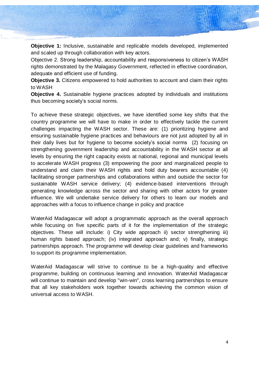**Objective 1:** Inclusive, sustainable and replicable models developed, implemented and scaled up through collaboration with key actors.

Objective 2. Strong leadership, accountability and responsiveness to citizen's WASH rights demonstrated by the Malagasy Government, reflected in effective coordination, adequate and efficient use of funding.

**Objective 3.** Citizens empowered to hold authorities to account and claim their rights to WASH

**Objective 4.** Sustainable hygiene practices adopted by individuals and institutions thus becoming society's social norms.

To achieve these strategic objectives, we have identified some key shifts that the country programme we will have to make in order to effectively tackle the current challenges impacting the WASH sector. These are: (1) prioritizing hygiene and ensuring sustainable hygiene practices and behaviours are not just adopted by all in their daily lives but for hygiene to become society's social norms (2) focusing on strengthening government leadership and accountability in the WASH sector at all levels by ensuring the right capacity exists at national, regional and municipal levels to accelerate WASH progress (3) empowering the poor and marginalized people to understand and claim their WASH rights and hold duty bearers accountable (4) facilitating stronger partnerships and collaborations within and outside the sector for sustainable WASH service delivery; (4) evidence-based interventions through generating knowledge across the sector and sharing with other actors for greater influence. We will undertake service delivery for others to learn our models and approaches with a focus to influence change in policy and practice

WaterAid Madagascar will adopt a programmatic approach as the overall approach while focusing on five specific parts of it for the implementation of the strategic objectives. These will include: i) City wide approach ii) sector strengthening iii) human rights based approach; (iv) integrated approach and; v) finally, strategic partnerships approach. The programme will develop clear guidelines and frameworks to support its programme implementation.

WaterAid Madagascar will strive to continue to be a high-quality and effective programme, building on continuous learning and innovation. WaterAid Madagascar will continue to maintain and develop "win-win", cross learning partnerships to ensure that all key stakeholders work together towards achieving the common vision of universal access to WASH.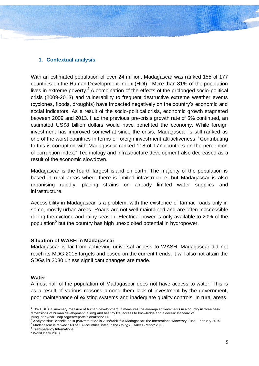#### <span id="page-5-0"></span>**1. Contextual analysis**

With an estimated population of over 24 million, Madagascar was ranked 155 of 177 countries on the Human Development Index (HDI).<sup>1</sup> More than 81% of the population lives in extreme poverty.<sup>2</sup> A combination of the effects of the prolonged socio-political crisis (2009-2013) and vulnerability to frequent destructive extreme weather events (cyclones, floods, droughts) have impacted negatively on the country's economic and social indicators. As a result of the socio-political crisis, economic growth stagnated between 2009 and 2013. Had the previous pre-crisis growth rate of 5% continued, an estimated US\$8 billion dollars would have benefited the economy. While foreign investment has improved somewhat since the crisis, Madagascar is still ranked as one of the worst countries in terms of foreign investment attractiveness.<sup>3</sup> Contributing to this is corruption with Madagascar ranked 118 of 177 countries on the perception of corruption index.<sup>4</sup> Technology and infrastructure development also decreased as a result of the economic slowdown.

Madagascar is the fourth largest island on earth. The majority of the population is based in rural areas where there is limited infrastructure, but Madagascar is also urbanising rapidly, placing strains on already limited water supplies and infrastructure.

Accessibility in Madagascar is a problem, with the existence of tarmac roads only in some, mostly urban areas. Roads are not well-maintained and are often inaccessible during the cyclone and rainy season. Electrical power is only available to 20% of the population<sup>5</sup> but the country has high unexploited potential in hydropower.

#### <span id="page-5-1"></span>**Situation of WASH in Madagascar**

Madagascar is far from achieving universal access to WASH. Madagascar did not reach its MDG 2015 targets and based on the current trends, it will also not attain the SDGs in 2030 unless significant changes are made.

#### **Water**

Almost half of the population of Madagascar does not have access to water. This is as a result of various reasons among them lack of investment by the government, poor maintenance of existing systems and inadequate quality controls. In rural areas,

 1 The HDI is a summary measure of human development. It measures the average achievements in a country in three basic dimensions of human development: a long and healthy life, access to knowledge and a decent standard of living. http://hdr.undp.org/en/reports/global/hdr2009.

 $^2$  Analyse situationnelle de la pauvreté et de la vulnérabilité à Madagascar, the International Monetary Fund, February 2015.

<sup>3</sup> Madagascar is ranked 163 of 189 countries listed in the *Doing Business Report* 2013

<sup>4</sup> Transparency International

<sup>5</sup> World Bank 2010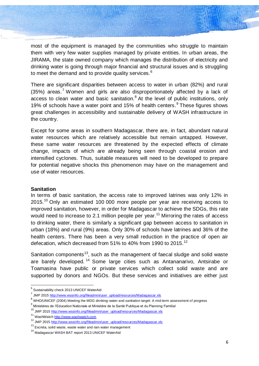most of the equipment is managed by the communities who struggle to maintain them with very few water supplies managed by private entities. In urban areas, the JIRAMA, the state owned company which manages the distribution of electricity and drinking water is going through major financial and structural issues and is struggling to meet the demand and to provide quality services.<sup>6</sup>

There are significant disparities between access to water in urban (82%) and rural  $(35%)$  areas.<sup>7</sup> Women and girls are also disproportionately affected by a lack of access to clean water and basic sanitation.<sup>8</sup> At the level of public institutions, only 19% of schools have a water point and 15% of health centers.<sup>9</sup> These figures shows great challenges in accessibility and sustainable delivery of WASH infrastructure in the country.

Except for some areas in southern Madagascar, there are, in fact, abundant natural water resources which are relatively accessible but remain untapped. However, these same water resources are threatened by the expected effects of climate change, impacts of which are already being seen through coastal erosion and intensified cyclones. Thus, suitable measures will need to be developed to prepare for potential negative shocks this phenomenon may have on the management and use of water resources.

#### <span id="page-6-0"></span>**Sanitation**

In terms of basic sanitation, the access rate to improved latrines was only 12% in  $2015<sup>10</sup>$  Only an estimated 100 000 more people per year are receiving access to improved sanitation, however, in order for Madagascar to achieve the SDGs, this rate would need to increase to 2.1 million people per year.<sup>11</sup> Mirroring the rates of access to drinking water, there is similarly a significant gap between access to sanitation in urban (18%) and rural (9%) areas. Only 30% of schools have latrines and 36% of the health centers. There has been a very small reduction in the practice of open air defecation, which decreased from 51% to 40% from 1990 to 2015. $^\mathrm{12}$ 

Sanitation components<sup>13</sup>, such as the management of faecal sludge and solid waste are barely developed.<sup>14</sup> Some large cities such as Antananarivo, Antsirabe or Toamasina have public or private services which collect solid waste and are supported by donors and NGOs. But these services and initiatives are either just

<sup>–&</sup>lt;br><sup>6</sup> Sustainability check 2013 UNICEF WaterAid

<sup>&</sup>lt;sup>7</sup> JMP 2015 <u>http://www.wssinfo.org/fileadmin/user\_upload/resources/Madagascar.xls</u>

<sup>8</sup> WHO/UNICEF (2004) Meeting the MDG drinking-water and sanitation target: A mid-term assessment of progress

<sup>&</sup>lt;sup>9</sup> Ministères de l'Education Nationale et Ministère de la Santé Publique et du Planning Familial

<sup>&</sup>lt;sup>10</sup> JMP 2015 [http://www.wssinfo.org/fileadmin/user\\_upload/resources/Madagascar.xls](http://www.wssinfo.org/fileadmin/user_upload/resources/Madagascar.xls)

<sup>&</sup>lt;sup>11</sup> WashWatch [http://www.washwatch.com](http://www.washwatch.com/)

<sup>&</sup>lt;sup>12</sup> JMP 2015 [http://www.wssinfo.org/fileadmin/user\\_upload/resources/Madagascar.xls](http://www.wssinfo.org/fileadmin/user_upload/resources/Madagascar.xls)

<sup>13</sup> Excreta, solid waste, waste water and rain water management

<sup>14</sup> Madagascar WASH BAT report 2013 UNICEF WaterAid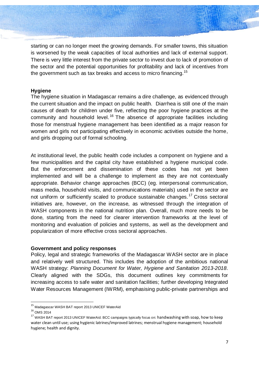starting or can no longer meet the growing demands. For smaller towns, this situation is worsened by the weak capacities of local authorities and lack of external support. There is very little interest from the private sector to invest due to lack of promotion of the sector and the potential opportunities for profitability and lack of incentives from the government such as tax breaks and access to micro financing.<sup>15</sup>

#### <span id="page-7-0"></span>**Hygiene**

The hygiene situation in Madagascar remains a dire challenge, as evidenced through the current situation and the impact on public health. Diarrhea is still one of the main causes of death for children under five, reflecting the poor hygiene practices at the community and household level.<sup>16</sup> The absence of appropriate facilities including those for menstrual hygiene management has been identified as a major reason for women and girls not participating effectively in economic activities outside the home, and girls dropping out of formal schooling.

At institutional level, the public health code includes a component on hygiene and a few municipalities and the capital city have established a hygiene municipal code. But the enforcement and dissemination of these codes has not yet been implemented and will be a challenge to implement as they are not contextually appropriate. Behavior change approaches (BCC) (eg. interpersonal communication, mass media, household visits, and communications materials) used in the sector are not uniform or sufficiently scaled to produce sustainable changes.<sup>17</sup> Cross sectoral initiatives are, however, on the increase, as witnessed through the integration of WASH components in the national nutrition plan. Overall, much more needs to be done, starting from the need for clearer intervention frameworks at the level of monitoring and evaluation of policies and systems, as well as the development and popularization of more effective cross sectoral approaches.

#### **Government and policy responses**

Policy, legal and strategic frameworks of the Madagascar WASH sector are in place and relatively well structured. This includes the adoption of the ambitious national WASH strategy: *Planning Document for Water, Hygiene and Sanitation 2013-2018*. Clearly aligned with the SDGs, this document outlines key commitments for increasing access to safe water and sanitation facilities; further developing Integrated Water Resources Management (IWRM), emphasising public-private partnerships and

 $\overline{a}$ <sup>15</sup> Madagascar WASH BAT report 2013 UNICEF WaterAid

<sup>16</sup> OMS 2014

<sup>&</sup>lt;sup>17</sup> WASH BAT report 2013 UNICEF WaterAid. BCC campaigns typically focus on: handwashing with soap, how to keep water clean until use; using hygienic latrines/improved latrines; menstrual hygiene management; household hygiene; health and dignity.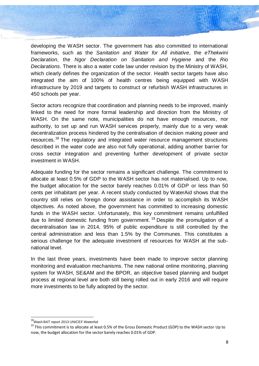developing the WASH sector. The government has also committed to international frameworks, such as the *Sanitation and Water for All initiative*, the *eThekwini Declaration*, the *Ngor Declaration on Sanitation and Hygiene* and the *Rio Declarations*. There is also a water code law under revision by the Ministry of WASH, which clearly defines the organization of the sector. Health sector targets have also integrated the aim of 100% of health centres being equipped with WASH infrastructure by 2019 and targets to construct or refurbish WASH infrastructures in 450 schools per year.

Sector actors recognize that coordination and planning needs to be improved, mainly linked to the need for more formal leadership and direction from the Ministry of WASH. On the same note, municipalities do not have enough resources, nor authority, to set up and run WASH services properly, mainly due to a very weak decentralization process hindered by the centralisation of decision making power and resources.<sup>18</sup> The regulatory and integrated water resource management structures described in the water code are also not fully operational, adding another barrier for cross sector integration and preventing further development of private sector investment in WASH.

Adequate funding for the sector remains a significant challenge. The commitment to allocate at least 0.5% of GDP to the WASH sector has not materialised. Up to now, the budget allocation for the sector barely reaches 0.01% of GDP or less than 50 cents per inhabitant per year. A recent study conducted by WaterAid shows that the country still relies on foreign donor assistance in order to accomplish its WASH objectives. As noted above, the government has committed to increasing domestic funds in the WASH sector. Unfortunately, this key commitment remains unfulfilled due to limited domestic funding from government.<sup>19</sup> Despite the promulgation of a decentralisation law in 2014, 95% of public expenditure is still controlled by the central administration and less than 1.5% by the Communes. This constitutes a serious challenge for the adequate investment of resources for WASH at the subnational level.

In the last three years, investments have been made to improve sector planning monitoring and evaluation mechanisms. The new national online monitoring, planning system for WASH, SE&AM and the BPOR, an objective based planning and budget process at regional level are both still being rolled out in early 2016 and will require more investments to be fully adopted by the sector.

 $\overline{a}$  $^{18}$ Wash BAT report 2013 UNICEF WaterAid

<sup>&</sup>lt;sup>19</sup> This commitment is to allocate at least 0.5% of the Gross Domestic Product (GDP) to the WASH sector Up to now, the budget allocation for the sector barely reaches 0.01% of GDP.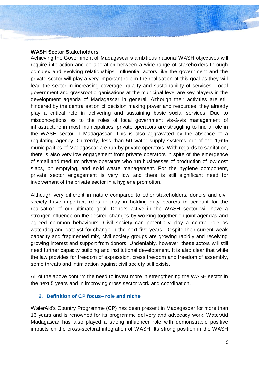#### **WASH Sector Stakeholders**

Achieving the Government of Madagascar's ambitious national WASH objectives will require interaction and collaboration between a wide range of stakeholders through complex and evolving relationships. Influential actors like the government and the private sector will play a very important role in the realisation of this goal as they will lead the sector in increasing coverage, quality and sustainability of services. Local government and grassroot organisations at the municipal level are key players in the development agenda of Madagascar in general. Although their activities are still hindered by the centralisation of decision making power and resources, they already play a critical role in delivering and sustaining basic social services. Due to misconceptions as to the roles of local government vis-à-vis management of infrastructure in most municipalities, private operators are struggling to find a role in the WASH sector in Madagascar. This is also aggravated by the absence of a regulating agency. Currently, less than 50 water supply systems out of the 1,695 municipalities of Madagascar are run by private operators. With regards to sanitation, there is also very low engagement from private operators in spite of the emergence of small and medium private operators who run businesses of production of low cost slabs, pit emptying, and solid waste management. For the hygiene component, private sector engagement is very low and there is still significant need for involvement of the private sector in a hygiene promotion.

Although very different in nature compared to other stakeholders, donors and civil society have important roles to play in holding duty bearers to account for the realisation of our ultimate goal. Donors active in the WASH sector will have a stronger influence on the desired changes by working together on joint agendas and agreed common behaviours. Civil society can potentially play a central role as watchdog and catalyst for change in the next five years. Despite their current weak capacity and fragmented mix, civil society groups are growing rapidly and receiving growing interest and support from donors. Undeniably, however, these actors will still need further capacity building and institutional development. It is also clear that while the law provides for freedom of expression, press freedom and freedom of assembly, some threats and intimidation against civil society still exists.

All of the above confirm the need to invest more in strengthening the WASH sector in the next 5 years and in improving cross sector work and coordination.

#### <span id="page-9-0"></span>**2. Definition of CP focus– role and niche**

WaterAid's Country Programme (CP) has been present in Madagascar for more than 16 years and is renowned for its programme delivery and advocacy work. WaterAid Madagascar has also played a strong influencer role with demonstrable positive impacts on the cross-sectoral integration of WASH. Its strong position in the WASH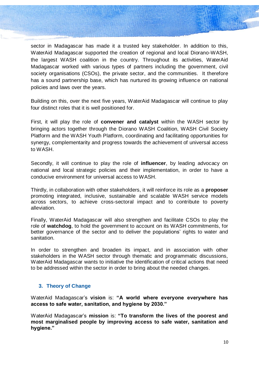sector in Madagascar has made it a trusted key stakeholder. In addition to this, WaterAid Madagascar supported the creation of regional and local Diorano-WASH, the largest WASH coalition in the country. Throughout its activities, WaterAid Madagascar worked with various types of partners including the government, civil society organisations (CSOs), the private sector, and the communities. It therefore has a sound partnership base, which has nurtured its growing influence on national policies and laws over the years.

Building on this, over the next five years, WaterAid Madagascar will continue to play four distinct roles that it is well positioned for.

First, it will play the role of **convener and catalyst** within the WASH sector by bringing actors together through the Diorano WASH Coalition, WASH Civil Society Platform and the WASH Youth Platform, coordinating and facilitating opportunities for synergy, complementarity and progress towards the achievement of universal access to WASH.

Secondly, it will continue to play the role of **influencer**, by leading advocacy on national and local strategic policies and their implementation, in order to have a conducive environment for universal access to WASH.

Thirdly, in collaboration with other stakeholders, it will reinforce its role as a **proposer**  promoting integrated, inclusive, sustainable and scalable WASH service models across sectors, to achieve cross-sectoral impact and to contribute to poverty alleviation.

Finally, WaterAid Madagascar will also strengthen and facilitate CSOs to play the role of **watchdog**, to hold the government to account on its WASH commitments, for better governance of the sector and to deliver the populations' rights to water and sanitation.

In order to strengthen and broaden its impact, and in association with other stakeholders in the WASH sector through thematic and programmatic discussions, WaterAid Madagascar wants to initiative the identification of critical actions that need to be addressed within the sector in order to bring about the needed changes.

#### <span id="page-10-0"></span>**3. Theory of Change**

WaterAid Madagascar's **vision** is: **"A world where everyone everywhere has access to safe water, sanitation, and hygiene by 2030."**

WaterAid Madagascar's **mission** is: **"To transform the lives of the poorest and most marginalised people by improving access to safe water, sanitation and hygiene."**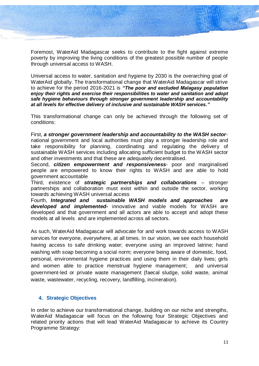Foremost, WaterAid Madagascar seeks to contribute to the fight against extreme poverty by improving the living conditions of the greatest possible number of people through universal access to WASH.

Universal access to water, sanitation and hygiene by 2030 is the overarching goal of WaterAid globally. The transformational change that WaterAid Madagascar will strive to achieve for the period 2016-2021 is *"The poor and excluded Malagasy population enjoy their rights and exercise their responsibilities to water and sanitation and adopt safe hygiene behaviours through stronger government leadership and accountability at all levels for effective delivery of inclusive and sustainable WASH services."*

This transformational change can only be achieved through the following set of conditions:

First, *a stronger government leadership and accountability to the WASH sector*national government and local authorities must play a stronger leadership role and take responsibility for planning, coordinating and regulating the delivery of sustainable WASH services including allocating sufficient budget to the WASH sector and other investments and that these are adequately decentralised.

Second, *citizen empowerment and responsiveness*- poor and marginalised people are empowered to know their rights to WASH and are able to hold government accountable

Third, existence of *strategic partnerships and collaborations* – stronger partnerships and collaboration must exist within and outside the sector, working towards achieving WASH universal access

Fourth, *Integrated and sustainable WASH models and approaches are developed and implemented-* innovative and viable models for WASH are developed and that government and all actors are able to accept and adopt these models at all levels and are implemented across all sectors.

As such, WaterAid Madagascar will advocate for and work towards access to WASH services for everyone, everywhere, at all times. In our vision, we see each household having access to safe drinking water; everyone using an improved latrine; hand washing with soap becoming a social norm; everyone being aware of domestic, food, personal, environmental hygiene practices and using them in their daily lives; girls and women able to practice menstrual hygiene management; and universal government-led or private waste management (faecal sludge, solid waste, animal waste, wastewater, recycling, recovery, landfilling, incineration).

#### <span id="page-11-0"></span>**4. Strategic Objectives**

In order to achieve our transformational change, building on our niche and strengths, WaterAid Madagascar will focus on the following four Strategic Objectives and related priority actions that will lead WaterAid Madagascar to achieve its Country Programme Strategy: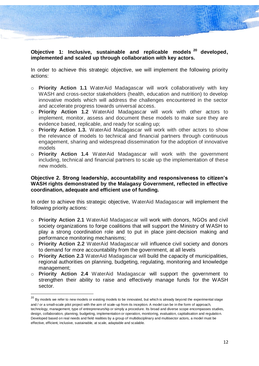#### **Objective 1: Inclusive, sustainable and replicable models <sup>20</sup> developed, implemented and scaled up through collaboration with key actors.**

In order to achieve this strategic objective, we will implement the following priority actions:

- o **Priority Action 1.1** WaterAid Madagascar will work collaboratively with key WASH and cross-sector stakeholders (health, education and nutrition) to develop innovative models which will address the challenges encountered in the sector and accelerate progress towards universal access.
- o **Priority Action 1.2** WaterAid Madagascar will work with other actors to implement, monitor, assess and document these models to make sure they are evidence based, replicable, and ready for scaling up;
- o **Priority Action 1.3.** WaterAid Madagascar will work with other actors to show the relevance of models to technical and financial partners through continuous engagement, sharing and widespread dissemination for the adoption of innovative models
- o **Priority Action 1.4** WaterAid Madagascar will work with the government including, technical and financial partners to scale up the implementation of these new models.

#### **Objective 2. Strong leadership, accountability and responsiveness to citizen's WASH rights demonstrated by the Malagasy Government, reflected in effective coordination, adequate and efficient use of funding.**

In order to achieve this strategic objective, WaterAid Madagascar will implement the following priority actions:

- o **Priority Action 2.1** WaterAid Madagascar will work with donors, NGOs and civil society organizations to forge coalitions that will support the Ministry of WASH to play a strong coordination role and to put in place joint-decision making and performance monitoring mechanisms;
- o **Priority Action 2.2** WaterAid Madagascar will influence civil society and donors to demand for more accountability from the government, at all levels
- o **Priority Action 2.3** WaterAid Madagascar will build the capacity of municipalities, regional authorities on planning, budgeting, regulating, monitoring and knowledge management;
- o **Priority Action 2.4** WaterAid Madagascar will support the government to strengthen their ability to raise and effectively manage funds for the WASH sector.

 $\overline{a}$ 

<sup>&</sup>lt;sup>20</sup> By models we refer to new models or existing models to be innovated, but which is already beyond the experimental stage and / or a small-scale pilot project with the aim of scale-up from its inception. A model can be in the form of approach, technology, management, type of entrepreneurship or simply a procedure. Its broad and diverse scope encompasses studies, design, collaboration, planning, budgeting, implementation or operation, monitoring, evaluation, capitalisation and regulation. Developed based on real needs and field realities by a group of multidisciplinary and multisector actors, a model must be effective, efficient, inclusive, sustainable, at scale, adaptable and scalable.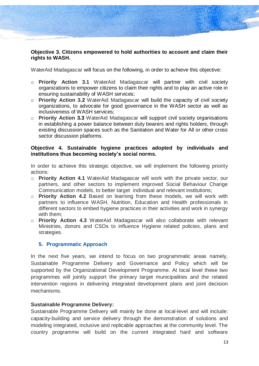#### **Objective 3. Citizens empowered to hold authorities to account and claim their rights to WASH.**

WaterAid Madagascar will focus on the following, in order to achieve this objective:

- o **Priority Action 3.1** WaterAid Madagascar will partner with civil society organizations to empower citizens to claim their rights and to play an active role in ensuring sustainability of WASH services;
- o **Priority Action 3.2** WaterAid Madagascar will build the capacity of civil society organizations, to advocate for good governance in the WASH sector as well as inclusiveness of WASH services;
- o **Priority Action 3.3** WaterAid Madagascar will support civil society organisations in establishing a power balance between duty bearers and rights holders, through existing discussion spaces such as the Sanitation and Water for All or other cross sector discussion platforms.

#### **Objective 4. Sustainable hygiene practices adopted by individuals and institutions thus becoming society's social norms.**

In order to achieve this strategic objective, we will implement the following priority actions:

- o **Priority Action 4.1** WaterAid Madagascar will work with the private sector, our partners, and other sectors to implement improved Social Behaviour Change Communication models, to better target individual and relevant institutions;
- o **Priority Action 4.2** Based on learning from these models, we will work with partners to influence WASH, Nutrition, Education and Health professionals in different sectors to embed hygiene practices in their activities and work in synergy with them;
- o **Priority Action 4.3** WaterAid Madagascar will also collaborate with relevant Ministries, donors and CSOs to influence Hygiene related policies, plans and strategies.

#### <span id="page-13-0"></span>**5. Programmatic Approach**

In the next five years, we intend to focus on two programmatic areas namely, Sustainable Programme Delivery and Governance and Policy which will be supported by the Organizational Development Programme. At local level these two programmes will jointly support the primary target municipalities and the related intervention regions in delivering integrated development plans and joint decision mechanisms.

#### **Sustainable Programme Delivery:**

Sustainable Programme Delivery will mainly be done at local-level and will include: capacity-building and service delivery through the demonstration of solutions and modeling integrated, inclusive and replicable approaches at the community level. The country programme will build on the current integrated hard and software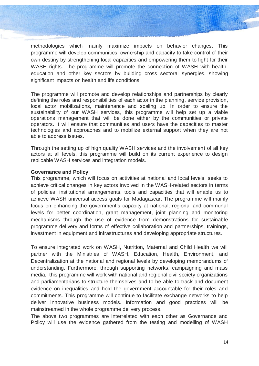methodologies which mainly maximize impacts on behavior changes. This programme will develop communities' ownership and capacity to take control of their own destiny by strengthening local capacities and empowering them to fight for their WASH rights. The programme will promote the connection of WASH with health, education and other key sectors by building cross sectoral synergies, showing significant impacts on health and life conditions.

The programme will promote and develop relationships and partnerships by clearly defining the roles and responsibilities of each actor in the planning, service provision, local actor mobilizations, maintenance and scaling up. In order to ensure the sustainability of our WASH services, this programme will help set up a viable operations management that will be done either by the communities or private operators. It will ensure that communities and users have the capacities to master technologies and approaches and to mobilize external support when they are not able to address issues.

Through the setting up of high quality WASH services and the involvement of all key actors at all levels, this programme will build on its current experience to design replicable WASH services and integration models.

#### **Governance and Policy**

This programme, which will focus on activities at national and local levels, seeks to achieve critical changes in key actors involved in the WASH-related sectors in terms of policies, institutional arrangements, tools and capacities that will enable us to achieve WASH universal access goals for Madagascar. The programme will mainly focus on enhancing the government's capacity at national, regional and communal levels for better coordination, grant management, joint planning and monitoring mechanisms through the use of evidence from demonstrations for sustainable programme delivery and forms of effective collaboration and partnerships, trainings, investment in equipment and infrastructures and developing appropriate structures.

To ensure integrated work on WASH, Nutrition, Maternal and Child Health we will partner with the Ministries of WASH, Education, Health, Environment, and Decentralization at the national and regional levels by developing memorandums of understanding. Furthermore, through supporting networks, campaigning and mass media, this programme will work with national and regional civil society organizations and parliamentarians to structure themselves and to be able to track and document evidence on inequalities and hold the government accountable for their roles and commitments. This programme will continue to facilitate exchange networks to help deliver innovative business models. Information and good practices will be mainstreamed in the whole programme delivery process.

The above two programmes are interrelated with each other as Governance and Policy will use the evidence gathered from the testing and modelling of WASH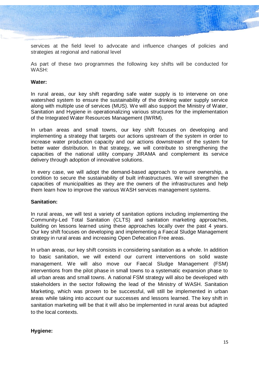services at the field level to advocate and influence changes of policies and strategies at regional and national level

As part of these two programmes the following key shifts will be conducted for WASH:

#### **Water:**

In rural areas, our key shift regarding safe water supply is to intervene on one watershed system to ensure the sustainability of the drinking water supply service along with multiple use of services (MUS). We will also support the Ministry of Water, Sanitation and Hygiene in operationalizing various structures for the implementation of the Integrated Water Resources Management (IWRM).

In urban areas and small towns, our key shift focuses on developing and implementing a strategy that targets our actions upstream of the system in order to increase water production capacity and our actions downstream of the system for better water distribution. In that strategy, we will contribute to strengthening the capacities of the national utility company JIRAMA and complement its service delivery through adoption of innovative solutions.

In every case, we will adopt the demand-based approach to ensure ownership, a condition to secure the sustainability of built infrastructures. We will strengthen the capacities of municipalities as they are the owners of the infrastructures and help them learn how to improve the various WASH services management systems.

#### **Sanitation:**

In rural areas, we will test a variety of sanitation options including implementing the Community-Led Total Sanitation (CLTS) and sanitation marketing approaches, building on lessons learned using these approaches locally over the past 4 years. Our key shift focuses on developing and implementing a Faecal Sludge Management strategy in rural areas and increasing Open Defecation Free areas.

In urban areas, our key shift consists in considering sanitation as a whole. In addition to basic sanitation, we will extend our current interventions on solid waste management. We will also move our Faecal Sludge Management (FSM) interventions from the pilot phase in small towns to a systematic expansion phase to all urban areas and small towns. A national FSM strategy will also be developed with stakeholders in the sector following the lead of the Ministry of WASH. Sanitation Marketing, which was proven to be successful, will still be implemented in urban areas while taking into account our successes and lessons learned. The key shift in sanitation marketing will be that it will also be implemented in rural areas but adapted to the local contexts.

#### **Hygiene:**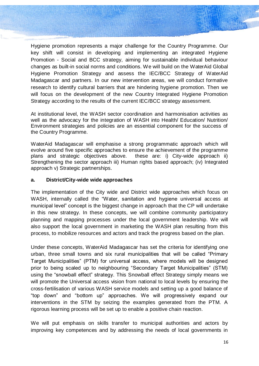Hygiene promotion represents a major challenge for the Country Programme. Our key shift will consist in developing and implementing an integrated Hygiene Promotion - Social and BCC strategy, aiming for sustainable individual behaviour changes as built-in social norms and conditions. We will build on the WaterAid Global Hygiene Promotion Strategy and assess the IEC/BCC Strategy of WaterAid Madagascar and partners. In our new intervention areas, we will conduct formative research to identify cultural barriers that are hindering hygiene promotion. Then we will focus on the development of the new Country Integrated Hygiene Promotion Strategy according to the results of the current IEC/BCC strategy assessment.

At institutional level, the WASH sector coordination and harmonisation activities as well as the advocacy for the integration of WASH into Health/ Education/ Nutrition/ Environment strategies and policies are an essential component for the success of the Country Programme.

WaterAid Madagascar will emphasise a strong programmatic approach which will evolve around five specific approaches to ensure the achievement of the programme plans and strategic objectives above. these are: i) City-wide approach ii) Strengthening the sector approach iii) Human rights based approach; (iv) Integrated approach v) Strategic partnerships.

#### <span id="page-16-0"></span>**a. District/City-wide wide approaches**

The implementation of the City wide and District wide approaches which focus on WASH, internally called the "Water, sanitation and hygiene universal access at municipal level" concept is the biggest change in approach that the CP will undertake in this new strategy. In these concepts, we will combine community participatory planning and mapping processes under the local government leadership. We will also support the local government in marketing the WASH plan resulting from this process, to mobilize resources and actors and track the progress based on the plan.

Under these concepts, WaterAid Madagascar has set the criteria for identifying one urban, three small towns and six rural municipalities that will be called "Primary Target Municipalities" (PTM) for universal access, where models will be designed prior to being scaled up to neighbouring "Secondary Target Municipalities" (STM) using the "snowball effect" strategy. This Snowball effect Strategy simply means we will promote the Universal access vision from national to local levels by ensuring the cross-fertilisation of various WASH service models and setting up a good balance of "top down" and "bottom up" approaches. We will progressively expand our interventions in the STM by seizing the examples generated from the PTM. A rigorous learning process will be set up to enable a positive chain reaction.

We will put emphasis on skills transfer to municipal authorities and actors by improving key competences and by addressing the needs of local governments in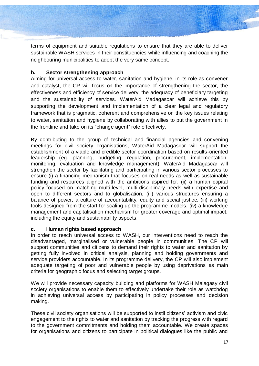terms of equipment and suitable regulations to ensure that they are able to deliver sustainable WASH services in their constituencies while influencing and coaching the neighbouring municipalities to adopt the very same concept.

## <span id="page-17-0"></span>**b. Sector strengthening approach**

Aiming for universal access to water, sanitation and hygiene, in its role as convener and catalyst, the CP will focus on the importance of strengthening the sector, the effectiveness and efficiency of service delivery, the adequacy of beneficiary targeting and the sustainability of services. WaterAid Madagascar will achieve this by supporting the development and implementation of a clear legal and regulatory framework that is pragmatic, coherent and comprehensive on the key issues relating to water, sanitation and hygiene by collaborating with allies to put the government in the frontline and take on its "change agent" role effectively.

By contributing to the group of technical and financial agencies and convening meetings for civil society organisations, WaterAid Madagascar will support the establishment of a viable and credible sector coordination based on results-oriented leadership (eg. planning, budgeting, regulation, procurement, implementation, monitoring, evaluation and knowledge management). WaterAid Madagascar will strengthen the sector by facilitating and participating in various sector processes to ensure (i) a financing mechanism that focuses on real needs as well as sustainable funding and resources aligned with the ambitions aspired for, (ii) a human capital policy focused on matching multi-level, multi-disciplinary needs with expertise and open to different sectors and to globalisation, (iii) various structures ensuring a balance of power, a culture of accountability, equity and social justice, (iii) working tools designed from the start for scaling up the programme models, (iv) a knowledge management and capitalisation mechanism for greater coverage and optimal impact, including the equity and sustainability aspects.

#### <span id="page-17-1"></span>**c. Human rights based approach**

In order to reach universal access to WASH, our interventions need to reach the disadvantaged, marginalised or vulnerable people in communities. The CP will support communities and citizens to demand their rights to water and sanitation by getting fully involved in critical analysis, planning and holding governments and service providers accountable. In its programme delivery, the CP will also implement adequate targeting of poor and vulnerable people by using deprivations as main criteria for geographic focus and selecting target groups.

We will provide necessary capacity building and platforms for WASH Malagasy civil society organisations to enable them to effectively undertake their role as watchdog in achieving universal access by participating in policy processes and decision making.

These civil society organisations will be supported to instil citizens' activism and civic engagement to the rights to water and sanitation by tracking the progress with regard to the government commitments and holding them accountable. We create spaces for organisations and citizens to participate in political dialogues like the public and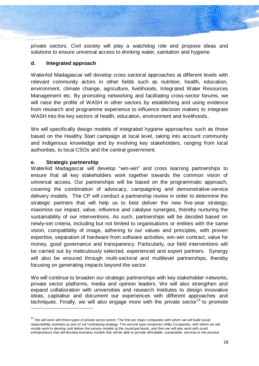private sectors. Civil society will play a watchdog role and propose ideas and solutions to ensure universal access to drinking water, sanitation and hygiene.

#### <span id="page-18-0"></span>**d. Integrated approach**

WaterAid Madagascar will develop cross sectoral approaches at different levels with relevant community actors in other fields such as nutrition, health, education, environment, climate change, agriculture, livelihoods, Integrated Water Resources Management etc. By promoting networking and facilitating cross-sector forums, we will raise the profile of WASH in other sectors by establishing and using evidence from research and programme experience to influence decision makers to integrate WASH into the key sectors of health, education, environment and livelihoods.

We will specifically design models of integrated hygiene approaches such as those based on the Healthy Start campaign at local level, taking into account community and indigenous knowledge and by involving key stakeholders, ranging from local authorities, to local CSOs and the central government.

#### <span id="page-18-1"></span>**e. Strategic partnership**

 $\overline{a}$ 

WaterAid Madagascar will develop "win-win" and cross learning partnerships to ensure that all key stakeholders work together towards the common vision of universal access. Our partnerships will be based on the programmatic approach, covering the combination of advocacy, campaigning and demonstrative-service delivery models. The CP will conduct a partnership review in order to determine the strategic partners that will help us to best deliver the new five-year strategy, maximise our impact, value, influence and catalyse synergies, thereby nurturing the sustainability of our interventions. As such, partnerships will be decided based on newly-set criteria, including but not limited to organisations or entities with the same vision, compatibility of image, adhering to our values and principles, with proven expertise, separation of hardware from software activities, win-win contract, value for money, good governance and transparency. Particularly, our field interventions will be carried out by meticulously selected, experienced and expert partners. Synergy will also be ensured through multi-sectoral and multilevel partnerships, thereby focusing on generating impacts beyond the sector.

We will continue to broaden our strategic partnerships with key stakeholder networks, private sector platforms, media and opinion leaders. We will also strengthen and expand collaboration with universities and research institutes to design innovative ideas, capitalise and document our experiences with different approaches and techniques. Finally, we will also engage more with the private sector<sup>21</sup> to promote

<sup>&</sup>lt;sup>21</sup> We will work with three types of private sector actors: The first are major companies with whom we will build social responsibility activities as part of our fundraising strategy. The second type comprises Utility Companies, with whom we will mostly work to develop and deliver the service models at the municipal levels, and then we will also work with small entrepreneurs that will develop business models that will be able to provide affordable, sustainable, services to the poorest.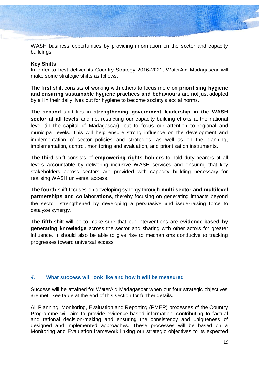WASH business opportunities by providing information on the sector and capacity buildings.

#### **Key Shifts**

In order to best deliver its Country Strategy 2016-2021, WaterAid Madagascar will make some strategic shifts as follows:

The **first** shift consists of working with others to focus more on **prioritising hygiene and ensuring sustainable hygiene practices and behaviours** are not just adopted by all in their daily lives but for hygiene to become society's social norms.

The **second** shift lies in **strengthening government leadership in the WASH sector at all levels** and not restricting our capacity building efforts at the national level (in the capital of Madagascar), but to focus our attention to regional and municipal levels. This will help ensure strong influence on the development and implementation of sector policies and strategies, as well as on the planning, implementation, control, monitoring and evaluation, and prioritisation instruments.

The **third** shift consists of **empowering rights holders** to hold duty bearers at all levels accountable by delivering inclusive WASH services and ensuring that key stakeholders across sectors are provided with capacity building necessary for realising WASH universal access.

The **fourth** shift focuses on developing synergy through **multi-sector and multilevel partnerships and collaborations**, thereby focusing on generating impacts beyond the sector, strengthened by developing a persuasive and issue-raising force to catalyse synergy.

The **fifth** shift will be to make sure that our interventions are **evidence-based by generating knowledge** across the sector and sharing with other actors for greater influence. It should also be able to give rise to mechanisms conducive to tracking progresses toward universal access.

#### <span id="page-19-0"></span>*4.* **What success will look like and how it will be measured**

Success will be attained for WaterAid Madagascar when our four strategic objectives are met. See table at the end of this section for further details.

All Planning, Monitoring, Evaluation and Reporting (PMER) processes of the Country Programme will aim to provide evidence-based information, contributing to factual and rational decision-making and ensuring the consistency and uniqueness of designed and implemented approaches. These processes will be based on a Monitoring and Evaluation framework linking our strategic objectives to its expected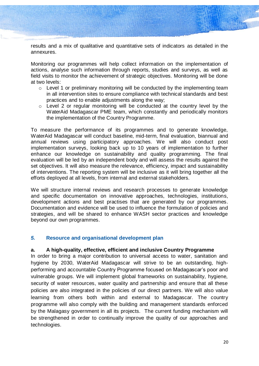results and a mix of qualitative and quantitative sets of indicators as detailed in the annexures.

Monitoring our programmes will help collect information on the implementation of actions, analyse such information through reports, studies and surveys, as well as field visits to monitor the achievement of strategic objectives. Monitoring will be done at two levels:

- o Level 1 or preliminary monitoring will be conducted by the implementing team in all intervention sites to ensure compliance with technical standards and best practices and to enable adjustments along the way;
- $\circ$  Level 2 or regular monitoring will be conducted at the country level by the WaterAid Madagascar PME team, which constantly and periodically monitors the implementation of the Country Programme.

To measure the performance of its programmes and to generate knowledge, WaterAid Madagascar will conduct baseline, mid-term, final evaluation, biannual and annual reviews using participatory approaches. We will also conduct post implementation surveys, looking back up to 10 years of implementation to further enhance our knowledge on sustainability and quality programming. The final evaluation will be led by an independent body and will assess the results against the set objectives. It will also measure the relevance, efficiency, impact and sustainability of interventions. The reporting system will be inclusive as it will bring together all the efforts deployed at all levels, from internal and external stakeholders.

We will structure internal reviews and research processes to generate knowledge and specific documentation on innovative approaches, technologies, institutions, development actions and best practises that are generated by our programmes. Documentation and evidence will be used to influence the formulation of policies and strategies, and will be shared to enhance WASH sector practices and knowledge beyond our own programmes.

#### <span id="page-20-0"></span>*5.* **Resource and organisational development plan**

#### <span id="page-20-1"></span>**a. A high-quality, effective, efficient and inclusive Country Programme**

In order to bring a major contribution to universal access to water, sanitation and hygiene by 2030, WaterAid Madagascar will strive to be an outstanding, highperforming and accountable Country Programme focused on Madagascar's poor and vulnerable groups. We will implement global frameworks on sustainability, hygiene, security of water resources, water quality and partnership and ensure that all these policies are also integrated in the policies of our direct partners. We will also value learning from others both within and external to Madagascar. The country programme will also comply with the building and management standards enforced by the Malagasy government in all its projects. The current funding mechanism will be strengthened in order to continually improve the quality of our approaches and technologies.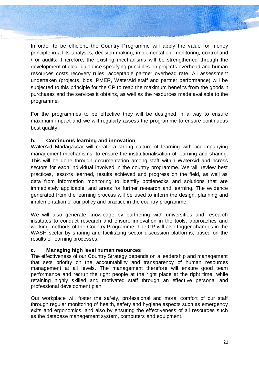In order to be efficient, the Country Programme will apply the value for money principle in all its analyses, decision making, implementation, monitoring, control and / or audits. Therefore, the existing mechanisms will be strengthened through the development of clear guidance specifying principles on projects overhead and human resources costs recovery rules, acceptable partner overhead rate. All assessment undertaken (projects, bids, PMER, WaterAid staff and partner performance) will be subjected to this principle for the CP to reap the maximum benefits from the goods it purchases and the services it obtains, as well as the resources made available to the programme.

For the programmes to be effective they will be designed in a way to ensure maximum impact and we will regularly assess the programme to ensure continuous best quality.

## <span id="page-21-0"></span>**b. Continuous learning and innovation**

WaterAid Madagascar will create a strong culture of learning with accompanying management mechanisms, to ensure the institutionalisation of learning and sharing. This will be done through documentation among staff within WaterAid and across sectors for each individual involved in the country programme. We will review best practices, lessons learned, results achieved and progress on the field, as well as data from information monitoring to identify bottlenecks and solutions that are immediately applicable, and areas for further research and learning. The evidence generated from the learning process will be used to inform the design, planning and implementation of our policy and practice in the country programme.

We will also generate knowledge by partnering with universities and research institutes to conduct research and ensure innovation in the tools, approaches and working methods of the Country Programme. The CP will also trigger changes in the WASH sector by sharing and facilitating sector discussion platforms, based on the results of learning processes.

## <span id="page-21-1"></span>**c. Managing high level human resources**

The effectiveness of our Country Strategy depends on a leadership and management that sets priority on the accountability and transparency of human resources management at all levels. The management therefore will ensure good team performance and recruit the right people at the right place at the right time, while retaining highly skilled and motivated staff through an effective personal and professional development plan.

Our workplace will foster the safety, professional and moral comfort of our staff through regular monitoring of health, safety and hygiene aspects such as emergency exits and ergonomics, and also by ensuring the effectiveness of all resources such as the database management system, computers and equipment.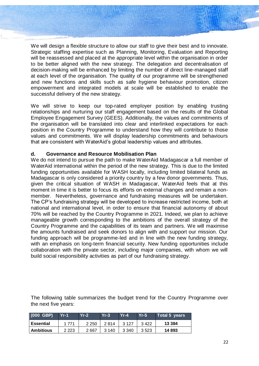We will design a flexible structure to allow our staff to give their best and to innovate. Strategic staffing expertise such as Planning, Monitoring, Evaluation and Reporting will be reassessed and placed at the appropriate level within the organisation in order to be better aligned with the new strategy. The delegation and decentralisation of decision-making will be enhanced by limiting the number of direct line-managed staff at each level of the organisation. The quality of our programme will be strengthened and new functions and skills such as safe hygiene behaviour promotion, citizen empowerment and integrated models at scale will be established to enable the successful delivery of the new strategy.

We will strive to keep our top-rated employer position by enabling trusting relationships and nurturing our staff engagement based on the results of the Global Employee Engagement Survey (GEES). Additionally, the values and commitments of the organisation will be translated into clear and interlinked expectations for each position in the Country Programme to understand how they will contribute to those values and commitments. We will display leadership commitments and behaviours that are consistent with WaterAid's global leadership values and attributes.

#### <span id="page-22-0"></span>**d. Governance and Resource Mobilisation Plan**

We do not intend to pursue the path to make WaterAid Madagascar a full member of WaterAid international within the period of the new strategy. This is due to the limited funding opportunities available for WASH locally, including limited bilateral funds as Madagascar is only considered a priority country by a few donor governments. Thus, given the critical situation of WASH in Madagascar, WaterAid feels that at this moment in time it is better to focus its efforts on external changes and remain a nonmember. Nevertheless, governance and fundraising measures will be undertaken. The CP's fundraising strategy will be developed to increase restricted income, both at national and international level, in order to ensure that financial autonomy of about 70% will be reached by the Country Programme in 2021. Indeed, we plan to achieve manageable growth corresponding to the ambitions of the overall strategy of the Country Programme and the capabilities of its team and partners. We will maximise the amounts fundraised and seek donors to align with and support our mission. Our funding approach will be programme-led and in line with the new funding strategy, with an emphasis on long-term financial security. New funding opportunities include collaboration with the private sector, including major companies, with whom we will build social responsibility activities as part of our fundraising strategy.

The following table summarizes the budget trend for the Country Programme over the next five years:

|                  | $Yr-1$  | <b>Yr-2</b> | $Yr-3$ | $Yr-4$  | $Yr-5$ | Total 5 years |
|------------------|---------|-------------|--------|---------|--------|---------------|
| ∣ Essential      | 1 771   | 2 2 5 0     | 2814   | 3 1 2 7 | 3422   | 13 3 84       |
| <b>Ambitious</b> | 2 2 2 3 | 2667        | 3 140  | 3 3 4 0 | 3523   | 14 893        |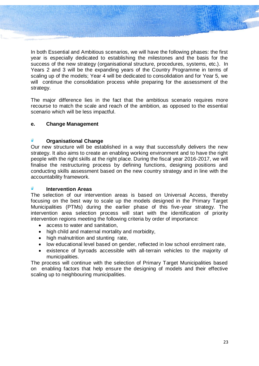In both Essential and Ambitious scenarios, we will have the following phases: the first year is especially dedicated to establishing the milestones and the basis for the success of the new strategy (organisational structure, procedures, systems, etc.). In Years 2 and 3 will be the expanding years of the Country Programme in terms of scaling up of the models; Year 4 will be dedicated to consolidation and for Year 5, we will continue the consolidation process while preparing for the assessment of the strategy.

The major difference lies in the fact that the ambitious scenario requires more recourse to match the scale and reach of the ambition, as opposed to the essential scenario which will be less impactful.

#### <span id="page-23-0"></span>**e. Change Management**

#### **Organisational Change**

Our new structure will be established in a way that successfully delivers the new strategy. It also aims to create an enabling working environment and to have the right people with the right skills at the right place. During the fiscal year 2016-2017, we will finalise the restructuring process by defining functions, designing positions and conducting skills assessment based on the new country strategy and in line with the accountability framework.

#### **Intervention Areas**

The selection of our intervention areas is based on Universal Access, thereby focusing on the best way to scale up the models designed in the Primary Target Municipalities (PTMs) during the earlier phase of this five-year strategy. The intervention area selection process will start with the identification of priority intervention regions meeting the following criteria by order of importance:

- access to water and sanitation,
- high child and maternal mortality and morbidity,
- high malnutrition and stunting rate,
- low educational level based on gender, reflected in low school enrolment rate,
- existence of byroads accessible with all-terrain vehicles to the majority of municipalities.

The process will continue with the selection of Primary Target Municipalities based on enabling factors that help ensure the designing of models and their effective scaling up to neighbouring municipalities.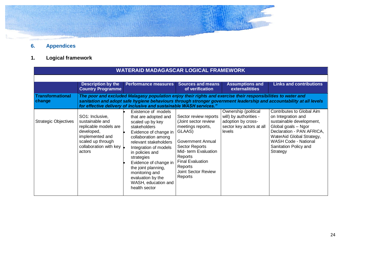## **6. Appendices**

**1. Logical framework** 

## **WATERAID MADAGASCAR LOGICAL FRAMEWORK**

1 May

<span id="page-24-0"></span>

|                                   | <b>Description by the</b><br><b>Country Programme</b>                                                                                                 | <b>Performance measures</b>                                                                                                                                                                                                                                                                                                                       | <b>Sources and means</b><br>of verification                                                                                                                                                                                                  | <b>Assumptions and</b><br><b>externalitities</b>                                                           | <b>Links and contributions</b>                                                                                                                                                                                            |
|-----------------------------------|-------------------------------------------------------------------------------------------------------------------------------------------------------|---------------------------------------------------------------------------------------------------------------------------------------------------------------------------------------------------------------------------------------------------------------------------------------------------------------------------------------------------|----------------------------------------------------------------------------------------------------------------------------------------------------------------------------------------------------------------------------------------------|------------------------------------------------------------------------------------------------------------|---------------------------------------------------------------------------------------------------------------------------------------------------------------------------------------------------------------------------|
| <b>Transformational</b><br>change |                                                                                                                                                       | The poor and excluded Malagasy population enjoy their rights and exercise their responsibilities to water and<br>for effective delivery of inclusive and sustainable WASH services."                                                                                                                                                              |                                                                                                                                                                                                                                              |                                                                                                            | sanitation and adopt safe hygiene behaviours through stronger government leadership and accountability at all levels                                                                                                      |
| <b>Strategic Objectives</b>       | SO1: Inclusive,<br>sustainable and<br>replicable models are<br>developed,<br>implemented and<br>scaled up through<br>collaboration with key<br>actors | Existence of models<br>that are adopted and<br>scaled up by key<br>stakeholders<br>Evidence of change in<br>collaboration among<br>relevant stakeholders<br>Integration of models<br>in policies and<br>strategies<br>Evidence of change in<br>the joint planning,<br>monitoring and<br>evaluation by the<br>WASH, education and<br>health sector | Sector review reports<br>(Joint sector review<br>meetings reports,<br>GLAAS)<br>Government Annual<br><b>Sector Reports</b><br>Mid- term Evaluation<br>Reports<br><b>Final Evaluation</b><br>Reports<br><b>Joint Sector Review</b><br>Reports | Ownership (political<br>will) by authorities -<br>adoption by cross-<br>sector key actors at all<br>levels | Contributes to Global Aim<br>on Integration and<br>sustainable development,<br>Global goals - Ngor<br>Declaration - PAN AFRICA,<br>WaterAid Global Strategy,<br>WASH Code - National<br>Sanitation Policy and<br>Strategy |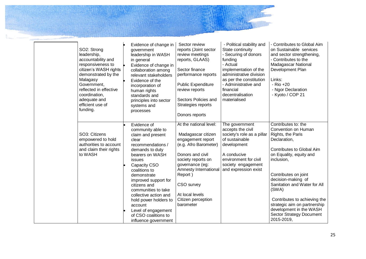|  | SO2: Strong<br>leadership,<br>accountability and<br>responsiveness to<br>citizen's WASH rights<br>demonstrated by the<br>Malagasy<br>Government,<br>reflected in effective<br>coordination,<br>adequate and<br>efficient use of<br>funding. | Evidence of change in<br>government<br>leadership in WASH<br>in general<br>Evidence of change in<br>collaboration among<br>relevant stakeholders<br>Evidence of the<br>incorporation of<br>human rights<br>standards and<br>principles into sector<br>systems and<br>processes                                                                                                         | Sector review<br>reports (Joint sector<br>review meetings<br>reports, GLAAS)<br>Sector finance<br>performance reports<br>Public Expenditure<br>review reports<br>Sectors Policies and<br>Strategies reports<br>Donors reports                                   | - Political stability and<br>State continuity<br>- Securing of donors<br>funding<br>- Actual<br>implementation of the<br>administrative division<br>as per the constitution<br>- Administrative and<br>financial<br>decentralisation<br>materialised | - Contributes to Global Aim<br>on Sustainable services<br>and sector strengthening,<br>- Contributes to the<br>Madagascar National<br>Development Plan<br>Links:<br>$-Rio +20$<br>- Ngor Declaration<br>- Kyoto / COP 21                                                                                                                                                                 |
|--|---------------------------------------------------------------------------------------------------------------------------------------------------------------------------------------------------------------------------------------------|----------------------------------------------------------------------------------------------------------------------------------------------------------------------------------------------------------------------------------------------------------------------------------------------------------------------------------------------------------------------------------------|-----------------------------------------------------------------------------------------------------------------------------------------------------------------------------------------------------------------------------------------------------------------|------------------------------------------------------------------------------------------------------------------------------------------------------------------------------------------------------------------------------------------------------|------------------------------------------------------------------------------------------------------------------------------------------------------------------------------------------------------------------------------------------------------------------------------------------------------------------------------------------------------------------------------------------|
|  | SO3: Citizens<br>empowered to hold<br>authorities to account<br>and claim their rights<br>to WASH                                                                                                                                           | Evidence of<br>community able to<br>claim and present<br>clear<br>recommendations /<br>demands to duty<br>bearers on WASH<br>issues<br>Capacity CSO<br>coalitions to<br>demonstrate<br>improved support for<br>citizens and<br>communities to take<br>collective action and<br>hold power holders to<br>account<br>Level of engagement<br>of CSO coalitions to<br>influence government | At the national level:<br>Madagascar citizen<br>engagement report<br>(e.g. Afro Barometer)<br>Donors and civil<br>society reports on<br>governance (eg:<br>Amnesty International<br>Report)<br>CSO survey<br>At local levels<br>Citizen perception<br>barometer | The government<br>accepts the civil<br>society's role as a pillar<br>of sustainable<br>development<br>A conducive<br>environment for civil<br>society engagement<br>and expression exist                                                             | Contributes to: the<br>Convention on Human<br>Rights, the Paris<br>Declaration,<br>Contributes to Global Aim<br>on Equality, equity and<br>inclusion,<br>Contributes on joint<br>decision-making of<br>Sanitation and Water for All<br>(SWA)<br>Contributes to achieving the<br>strategic aim on partnership<br>development in the WASH<br><b>Sector Strategy Document</b><br>2015-2019, |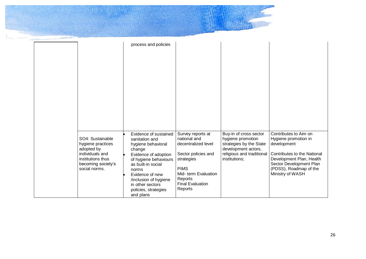|                                                                                                                                    | process and policies                                                                                                                                                                                                                                         |                                                                                                                                                                                       |                                                                                                                                             |                                                                                                                                                                                                  |
|------------------------------------------------------------------------------------------------------------------------------------|--------------------------------------------------------------------------------------------------------------------------------------------------------------------------------------------------------------------------------------------------------------|---------------------------------------------------------------------------------------------------------------------------------------------------------------------------------------|---------------------------------------------------------------------------------------------------------------------------------------------|--------------------------------------------------------------------------------------------------------------------------------------------------------------------------------------------------|
| SO4: Sustainable<br>hygiene practices<br>adopted by<br>individuals and<br>institutions thus<br>becoming society's<br>social norms. | Evidence of sustained<br>sanitation and<br>hygiene behavioral<br>change<br>Evidence of adoption<br>of hygiene behaviours<br>as built-in social<br>norms<br>Evidence of new<br>/inclusion of hygiene<br>in other sectors<br>policies, strategies<br>and plans | Survey reports at<br>national and<br>decentralized level<br>Sector policies and<br>strategies<br><b>PIMS</b><br>Mid- term Evaluation<br>Reports<br><b>Final Evaluation</b><br>Reports | Buy-in of cross sector<br>hygiene promotion<br>strategies by the State<br>development actors,<br>religious and traditional<br>institutions; | Contributes to Aim on<br>Hygiene promotion in<br>development<br>Contributes to the National<br>Development Plan, Health<br>Sector Development Plan<br>(PDSS), Roadmap of the<br>Ministry of WASH |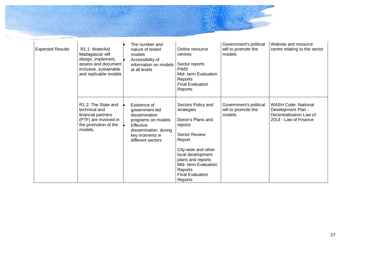|  | <b>Expected Results</b> | R1.1: WaterAid<br>Madagascar will<br>design, implement,<br>assess and document<br>inclusive, sustainable<br>and replicable models | The number and<br>nature of tested<br>models<br>Accessibility of<br>information on models<br>at all levels                                        | Online resource<br>centres<br>Sector reports<br><b>PIMS</b><br>Mid-term Evaluation<br>Reports<br><b>Final Evaluation</b><br>Reports                                                                                                         | Government's political<br>will to promote the<br>models | Website and resource<br>centre relating to the sector                                                |
|--|-------------------------|-----------------------------------------------------------------------------------------------------------------------------------|---------------------------------------------------------------------------------------------------------------------------------------------------|---------------------------------------------------------------------------------------------------------------------------------------------------------------------------------------------------------------------------------------------|---------------------------------------------------------|------------------------------------------------------------------------------------------------------|
|  |                         | R1.2: The State and<br>technical and<br>financial partners<br>(PTF) are involved in<br>the promotion of the<br>models.            | Existence of<br>government-led<br>dissemination<br>programs on models<br>Effective<br>dissemination during<br>key moments in<br>different sectors | Sectors Policy and<br>strategies<br>Donor's Plans and<br>reports<br><b>Sector Review</b><br>Report<br>City-wide and other<br>local development<br>plans and reports<br>Mid-term Evaluation<br>Reports<br><b>Final Evaluation</b><br>Reports | Government's political<br>will to promote the<br>models | <b>WASH Code- National</b><br>Development Plan -<br>Decentralisation Law of<br>2014 - Law of Finance |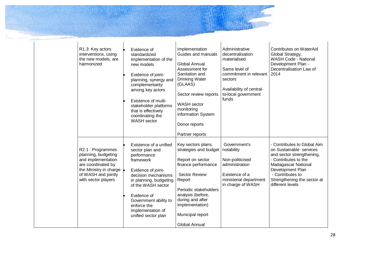| R1.3: Key actors<br>interventions, using<br>the new models, are<br>harmonized | Evidence of<br>standardized<br>implementation of the<br>new models<br>Evidence of joint-<br>planning, synergy and | Implementation<br>Guides and manuals<br><b>Global Annual</b><br>Assessment for<br>Sanitation and<br><b>Drinking Water</b> | Administrative<br>decentralisation<br>materialised<br>Same level of<br>commitment in relevant<br>sectors | Contributes on WaterAid<br>Global Strategy,<br><b>WASH Code - National</b><br>Development Plan -<br>Decentralisation Law of<br>2014 |
|-------------------------------------------------------------------------------|-------------------------------------------------------------------------------------------------------------------|---------------------------------------------------------------------------------------------------------------------------|----------------------------------------------------------------------------------------------------------|-------------------------------------------------------------------------------------------------------------------------------------|
|                                                                               | complementarity<br>among key actors                                                                               | (GLAAS)<br>Sector review reports                                                                                          | Availability of central-<br>to-local government                                                          |                                                                                                                                     |
|                                                                               | Existence of multi-<br>stakeholder platforms<br>that is effectively<br>coordinating the                           | <b>WASH</b> sector<br>monitoring<br>information System                                                                    | funds                                                                                                    |                                                                                                                                     |
|                                                                               | <b>WASH</b> sector                                                                                                | Donor reports<br>Partner reports                                                                                          |                                                                                                          |                                                                                                                                     |
| R2.1 : Programmes<br>planning, budgeting<br>and implementation                | Existence of a unified<br>sector plan and<br>performance<br>framework                                             | Key sectors plans,<br>strategies and budget<br>Report on sector                                                           | Government's<br>notability<br>Non-politicised                                                            | - Contributes to Global Aim<br>on Sustainable services<br>and sector strengthening,<br>- Contributes to the                         |
| are coordinated by<br>the Ministry in charge                                  | Evidence of joint-                                                                                                | finance performance                                                                                                       | administration                                                                                           | Madagascar National<br>Development Plan                                                                                             |
| of WASH and jointly<br>with sector players                                    | decision mechanisms<br>in planning, budgeting<br>of the WASH sector                                               | <b>Sector Review</b><br>Report                                                                                            | Existence of a<br>ministerial department<br>in charge of WASH                                            | - Contributes to<br>Strengthening the sector at<br>different levels                                                                 |
|                                                                               | Evidence of<br>Government ability to<br>enforce the                                                               | Periodic stakeholders<br>analysis (before,<br>during and after<br>implementation)                                         |                                                                                                          |                                                                                                                                     |
|                                                                               | implementation of<br>unified sector plan                                                                          | Municipal report                                                                                                          |                                                                                                          |                                                                                                                                     |
|                                                                               |                                                                                                                   | <b>Global Annual</b>                                                                                                      |                                                                                                          |                                                                                                                                     |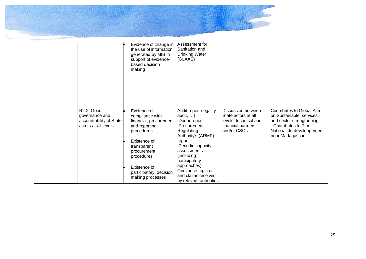

|                                                                                 | Evidence of change in<br>the use of information<br>generated by MIS in<br>support of evidence-<br>based decision<br>making                                                                    | Assessment for<br>Sanitation and<br><b>Drinking Water</b><br>(GLAAS)                                                                                                                                                                                   |                                                                                                         |                                                                                                                                                            |
|---------------------------------------------------------------------------------|-----------------------------------------------------------------------------------------------------------------------------------------------------------------------------------------------|--------------------------------------------------------------------------------------------------------------------------------------------------------------------------------------------------------------------------------------------------------|---------------------------------------------------------------------------------------------------------|------------------------------------------------------------------------------------------------------------------------------------------------------------|
| R2.2: Good<br>governance and<br>accountability of State<br>actors at all levels | Evidence of<br>compliance with<br>financial, procurement<br>and reporting<br>procedures<br>Existence of<br>transparent<br>procurement<br>procedures<br>Existence of<br>participatory decision | Audit report (legality<br>$audit, \ldots)$<br>Donor report<br>Procurement<br>Regulating<br>Authority's (ARMP)<br>report<br>Periodic capacity<br>assessments<br>(including<br>participatory<br>approaches)<br>Grievance register<br>and claims received | Discussion between<br>State actors at all<br>levels, technical and<br>financial partners<br>and/or CSOs | Contributes to Global Aim<br>on Sustainable services<br>and sector strengthening,<br>- Contributes to Plan<br>National de développement<br>pour Madagascar |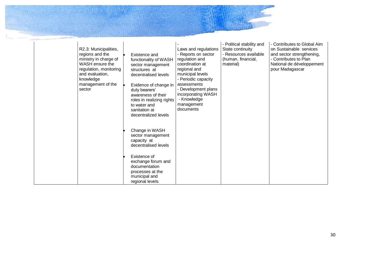| R2.3: Municipalities,<br>regions and the<br>ministry in charge of<br>WASH ensure the<br>regulation, monitoring<br>and evaluation,<br>knowledge<br>management of the<br>sector | Existence and<br>functionality of WASH<br>sector management<br>structures at<br>decentralised levels<br>Evidence of change in<br>duty bearers'<br>awareness of their<br>roles in realizing rights<br>to water and<br>sanitation at<br>decentralized levels | Laws and regulations<br>- Reports on sector<br>regulation and<br>coordination at<br>regional and<br>municipal levels<br>- Periodic capacity<br>assessments<br>- Development plans<br>incorporating WASH<br>- Knowledge<br>management<br>documents | - Political stability and<br>State continuity<br>- Resources available<br>(human, financial,<br>material) | - Contributes to Global Aim<br>on Sustainable services<br>and sector strengthening,<br>- Contributes to Plan<br>National de développement<br>pour Madagascar |
|-------------------------------------------------------------------------------------------------------------------------------------------------------------------------------|------------------------------------------------------------------------------------------------------------------------------------------------------------------------------------------------------------------------------------------------------------|---------------------------------------------------------------------------------------------------------------------------------------------------------------------------------------------------------------------------------------------------|-----------------------------------------------------------------------------------------------------------|--------------------------------------------------------------------------------------------------------------------------------------------------------------|
|                                                                                                                                                                               | Change in WASH<br>sector management<br>capacity at<br>decentralised levels<br>Existence of<br>exchange forum and<br>documentation<br>processes at the<br>municipal and<br>regional levels                                                                  |                                                                                                                                                                                                                                                   |                                                                                                           |                                                                                                                                                              |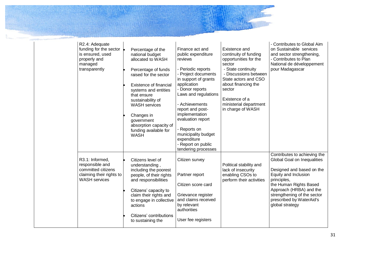| R2.4: Adequate<br>funding for the sector<br>is ensured, used<br>properly and<br>managed<br>transparently     | Percentage of the<br>national budget<br>allocated to WASH<br>Percentage of funds<br>raised for the sector<br>Existence of financial<br>systems and entities<br>that ensure<br>sustainability of<br><b>WASH</b> services<br>Changes in<br>government<br>absorption capacity of<br>funding available for | Finance act and<br>public expenditure<br>reviews<br>- Periodic reports<br>- Project documents<br>in support of grants<br>application<br>- Donor reports<br>Laws and regulations<br>- Achievements<br>report and post-<br>implementation<br>evaluation report<br>- Reports on | Existence and<br>continuity of funding<br>opportunities for the<br>sector<br>- State continuity<br>- Discussions between<br>State actors and CSO<br>about financing the<br>sector<br>Existence of a<br>ministerial department<br>in charge of WASH | - Contributes to Global Aim<br>on Sustainable services<br>and sector strengthening,<br>- Contributes to Plan<br>National de développement<br>pour Madagascar                                                                                                       |
|--------------------------------------------------------------------------------------------------------------|--------------------------------------------------------------------------------------------------------------------------------------------------------------------------------------------------------------------------------------------------------------------------------------------------------|------------------------------------------------------------------------------------------------------------------------------------------------------------------------------------------------------------------------------------------------------------------------------|----------------------------------------------------------------------------------------------------------------------------------------------------------------------------------------------------------------------------------------------------|--------------------------------------------------------------------------------------------------------------------------------------------------------------------------------------------------------------------------------------------------------------------|
|                                                                                                              | <b>WASH</b>                                                                                                                                                                                                                                                                                            | municipality budget<br>expenditure<br>- Report on public<br>tendering processes                                                                                                                                                                                              |                                                                                                                                                                                                                                                    |                                                                                                                                                                                                                                                                    |
| R3.1: Informed,<br>responsible and<br>committed citizens<br>claiming their rights to<br><b>WASH</b> services | Citizens level of<br>understanding,<br>including the poorest<br>people, of their rights<br>and responsibilities<br>Citizens' capacity to<br>claim their rights and<br>to engage in collective<br>actions<br>Citizens' contributions<br>to sustaining the                                               | Citizen survey<br>Partner report<br>Citizen score card<br>Grievance register<br>and claims received<br>by relevant<br>authorities<br>User fee registers                                                                                                                      | Political stability and<br>lack of insecurity<br>enabling CSOs to<br>perform their activities                                                                                                                                                      | Contributes to achieving the<br>Global Goal on Inequalities<br>Designed and based on the<br>Equity and Inclusion<br>principles,<br>the Human Rights Based<br>Approach (HRBA) and the<br>strengthening of the sector<br>prescribed by WaterAid's<br>global strategy |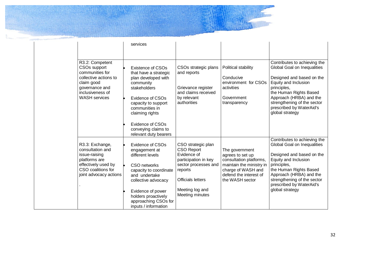|                                                                                                                                                         | services                                                                                                                                                                                                                                                         |                                                                                                                                                                                     |                                                                                                                                                              |                                                                                                                                                                                                                                                                    |
|---------------------------------------------------------------------------------------------------------------------------------------------------------|------------------------------------------------------------------------------------------------------------------------------------------------------------------------------------------------------------------------------------------------------------------|-------------------------------------------------------------------------------------------------------------------------------------------------------------------------------------|--------------------------------------------------------------------------------------------------------------------------------------------------------------|--------------------------------------------------------------------------------------------------------------------------------------------------------------------------------------------------------------------------------------------------------------------|
| R3.2: Competent<br>CSOs support<br>communities for<br>collective actions to<br>claim good<br>governance and<br>inclusiveness of<br><b>WASH</b> services | <b>Existence of CSOs</b><br>that have a strategic<br>plan developed with<br>community<br>stakeholders<br><b>Evidence of CSOs</b><br>capacity to support<br>communities in<br>claiming rights<br>Evidence of CSOs<br>conveying claims to<br>relevant duty bearers | CSOs strategic plans<br>and reports<br>Grievance register<br>and claims received<br>by relevant<br>authorities                                                                      | Political stability<br>Conducive<br>environment for CSOs<br>activities<br>Government<br>transparency                                                         | Contributes to achieving the<br>Global Goal on Inequalities<br>Designed and based on the<br>Equity and Inclusion<br>principles,<br>the Human Rights Based<br>Approach (HRBA) and the<br>strengthening of the sector<br>prescribed by WaterAid's<br>global strategy |
| R3.3: Exchange,<br>consultation and<br>issue-raising<br>platforms are<br>effectively used by<br>CSO coalitions for<br>joint advocacy actions            | Evidence of CSOs<br>engagement at<br>different levels<br>CSO networks<br>capacity to coordinate<br>and undertake<br>collective advocacy<br>Evidence of power<br>holders proactively<br>approaching CSOs for<br>inputs / information                              | CSO strategic plan<br><b>CSO Report</b><br>Evidence of<br>participation in key<br>sector processes and<br>reports<br><b>Officials letters</b><br>Meeting log and<br>Meeting minutes | The government<br>agrees to set up<br>consultation platforms,<br>maintain the ministry in<br>charge of WASH and<br>defend the interest of<br>the WASH sector | Contributes to achieving the<br>Global Goal on Inequalities<br>Designed and based on the<br>Equity and Inclusion<br>principles,<br>the Human Rights Based<br>Approach (HRBA) and the<br>strengthening of the sector<br>prescribed by WaterAid's<br>global strategy |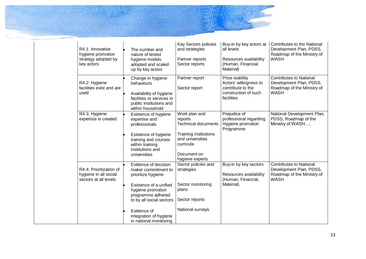| R4.1: Innovative<br>hygiene promotion<br>strategy adopted by<br>key actors | The number and<br>nature of tested<br>hygiene models<br>adopted and scaled<br>up by key actors                                                                                                                                       | <b>Key Sectors policies</b><br>and strategies<br>Partner reports<br>Sector reports                                                                 | Buy-in by key actors at<br>all levels<br>Resources availability<br>(Human, Financial,<br>Material)   | <b>Contributes to the National</b><br>Development Plan, PDSS,<br>Roadmap of the Ministry of<br><b>WASH</b> |
|----------------------------------------------------------------------------|--------------------------------------------------------------------------------------------------------------------------------------------------------------------------------------------------------------------------------------|----------------------------------------------------------------------------------------------------------------------------------------------------|------------------------------------------------------------------------------------------------------|------------------------------------------------------------------------------------------------------------|
| R4.2: Hygiene<br>facilities exist and are<br>used                          | Change in hygiene<br>behaviours<br>Availability of hygiene<br>facilities or services in<br>public institutions and<br>within household                                                                                               | Partner report<br>Sector report                                                                                                                    | Price stability<br>Actors' willingness to<br>contribute to the<br>construction of such<br>facilities | <b>Contributes to National</b><br>Development Plan, PDSS,<br>Roadmap of the Ministry of<br><b>WASH</b>     |
| R4.3: Hygiene<br>expertise is created                                      | Existence of hygiene<br>expertise and<br>professionals<br>Existence of hygiene<br>training and courses<br>within training<br>institutions and<br>universities                                                                        | Work plan and<br>reports<br><b>Technical documents</b><br>Training institutions<br>and universities<br>curricula<br>Document on<br>hygiene experts | Prejudice of<br>professional regarding<br>Hygiene promotion<br>Programme                             | National Development Plan,<br>PDSS, Roadmap of the<br>Ministry of WASH;                                    |
| R4.4: Prioritization of<br>hygiene in all social<br>sectors at all levels  | Evidence of decision<br>maker commitment to<br>prioritize hygiene<br>Existence of a unified<br>hygiene promotion<br>programme adhered<br>to by all social sectors<br>Evidence of<br>integration of hygiene<br>in national monitoring | Sector policies and<br>strategies<br>Sector monitoring<br>plans<br>Sector reports<br>National surveys                                              | Buy-in by key sectors<br>Resources availability<br>(Human, Financial,<br>Material)                   | <b>Contributes to National</b><br>Development Plan, PDSS,<br>Roadmap of the Ministry of<br><b>WASH</b>     |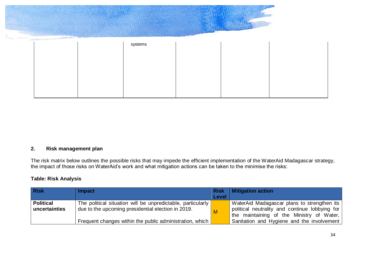

## **2. Risk management plan**

The risk matrix below outlines the possible risks that may impede the efficient implementation of the WaterAid Madagascar strategy, the impact of those risks on WaterAid's work and what mitigation actions can be taken to the minimise the risks:

#### **Table: Risk Analysis**

| <b>Risk</b>                       | <b>Impact</b>                                                                                                     | <b>Risk</b><br>Level | <b>Mitigation action</b>                                                                                                                   |
|-----------------------------------|-------------------------------------------------------------------------------------------------------------------|----------------------|--------------------------------------------------------------------------------------------------------------------------------------------|
| <b>Political</b><br>uncertainties | The political situation will be unpredictable, particularly<br>due to the upcoming presidential election in 2019. | M                    | WaterAid Madagascar plans to strengthen its<br>political neutrality and continue lobbying for<br>the maintaining of the Ministry of Water, |
|                                   | Frequent changes within the public administration, which                                                          |                      | Sanitation and Hygiene and the involvement                                                                                                 |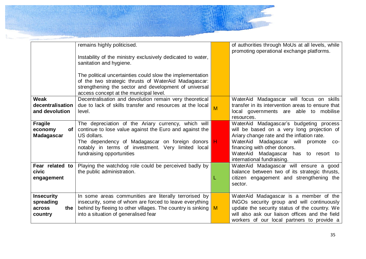

|                                                                   | remains highly politicised.<br>Instability of the ministry exclusively dedicated to water,<br>sanitation and hygiene.<br>The political uncertainties could slow the implementation<br>of the two strategic thrusts of WaterAid Madagascar:<br>strengthening the sector and development of universal<br>access concept at the municipal level. |   | of authorities through MoUs at all levels, while<br>promoting operational exchange platforms.                                                                                                                                                                                                 |
|-------------------------------------------------------------------|-----------------------------------------------------------------------------------------------------------------------------------------------------------------------------------------------------------------------------------------------------------------------------------------------------------------------------------------------|---|-----------------------------------------------------------------------------------------------------------------------------------------------------------------------------------------------------------------------------------------------------------------------------------------------|
| <b>Weak</b><br>decentralisation<br>and devolution                 | Decentralisation and devolution remain very theoretical<br>due to lack of skills transfer and resources at the local<br>level.                                                                                                                                                                                                                | M | WaterAid Madagascar will focus on skills<br>transfer in its intervention areas to ensure that<br>local governments are able to mobilise<br>resources.                                                                                                                                         |
| <b>Fragile</b><br>of <sub>l</sub><br>economy<br><b>Madagascar</b> | The depreciation of the Ariary currency, which will<br>continue to lose value against the Euro and against the<br>US dollars.<br>The dependency of Madagascar on foreign donors<br>notably in terms of investment. Very limited local<br>fundraising opportunities                                                                            | н | WaterAid Madagascar's budgeting process<br>will be based on a very long projection of<br>Ariary change rate and the inflation rate.<br>WaterAid<br>Madagascar will promote<br>CO-<br>financing with other donors.<br>WaterAid<br>Madagascar<br>has to resort to<br>international fundraising. |
| Fear related to<br>civic<br>engagement                            | Playing the watchdog role could be perceived badly by<br>the public administration.                                                                                                                                                                                                                                                           | L | WaterAid Madagascar will ensure a good<br>balance between two of its strategic thrusts,<br>citizen engagement and strengthening the<br>sector.                                                                                                                                                |
| <b>Insecurity</b><br>spreading<br>the $ $<br>across<br>country    | In some areas communities are literally terrorised by<br>insecurity, some of whom are forced to leave everything<br>behind by fleeing to other villages. The country is sinking<br>into a situation of generalised fear                                                                                                                       | M | WaterAid Madagascar is a member of the<br>INGOs security group and will continuously<br>update the security status of the country. We<br>will also ask our liaison offices and the field<br>workers of our local partners to provide a                                                        |